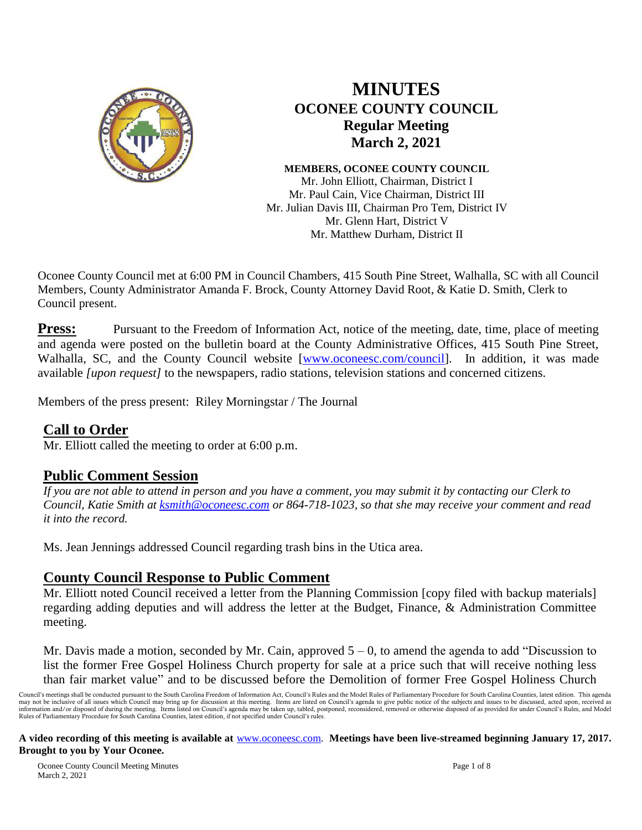

# **MINUTES OCONEE COUNTY COUNCIL Regular Meeting March 2, 2021**

**MEMBERS, OCONEE COUNTY COUNCIL** Mr. John Elliott, Chairman, District I Mr. Paul Cain, Vice Chairman, District III Mr. Julian Davis III, Chairman Pro Tem, District IV Mr. Glenn Hart, District V Mr. Matthew Durham, District II

Oconee County Council met at 6:00 PM in Council Chambers, 415 South Pine Street, Walhalla, SC with all Council Members, County Administrator Amanda F. Brock, County Attorney David Root, & Katie D. Smith, Clerk to Council present.

**Press:** Pursuant to the Freedom of Information Act, notice of the meeting, date, time, place of meeting and agenda were posted on the bulletin board at the County Administrative Offices, 415 South Pine Street, Walhalla, SC, and the County Council website [\[www.oconeesc.com/council\]](http://www.oconeesc.com/council). In addition, it was made available *[upon request]* to the newspapers, radio stations, television stations and concerned citizens.

Members of the press present: Riley Morningstar / The Journal

## **Call to Order**

Mr. Elliott called the meeting to order at 6:00 p.m.

## **Public Comment Session**

*If you are not able to attend in person and you have a comment, you may submit it by contacting our Clerk to Council, Katie Smith at [ksmith@oconeesc.com](mailto:ksmith@oconeesc.com) or 864-718-1023, so that she may receive your comment and read it into the record.* 

Ms. Jean Jennings addressed Council regarding trash bins in the Utica area.

## **County Council Response to Public Comment**

Mr. Elliott noted Council received a letter from the Planning Commission [copy filed with backup materials] regarding adding deputies and will address the letter at the Budget, Finance, & Administration Committee meeting.

Mr. Davis made a motion, seconded by Mr. Cain, approved  $5 - 0$ , to amend the agenda to add "Discussion to list the former Free Gospel Holiness Church property for sale at a price such that will receive nothing less than fair market value" and to be discussed before the Demolition of former Free Gospel Holiness Church

Council's meetings shall be conducted pursuant to the South Carolina Freedom of Information Act, Council's Rules and the Model Rules of Parliamentary Procedure for South Carolina Counties, latest edition. This agenda may not be inclusive of all issues which Council may bring up for discussion at this meeting. Items are listed on Council's agenda to give public notice of the subjects and issues to be discussed, acted upon, received as<br>i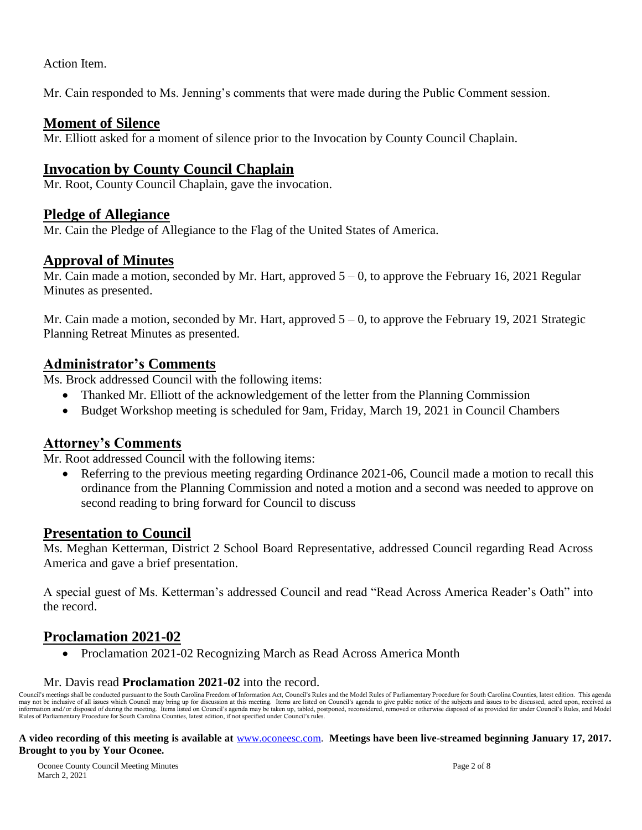Action Item.

Mr. Cain responded to Ms. Jenning's comments that were made during the Public Comment session.

## **Moment of Silence**

Mr. Elliott asked for a moment of silence prior to the Invocation by County Council Chaplain.

# **Invocation by County Council Chaplain**

Mr. Root, County Council Chaplain, gave the invocation.

## **Pledge of Allegiance**

Mr. Cain the Pledge of Allegiance to the Flag of the United States of America.

### **Approval of Minutes**

Mr. Cain made a motion, seconded by Mr. Hart, approved  $5 - 0$ , to approve the February 16, 2021 Regular Minutes as presented.

Mr. Cain made a motion, seconded by Mr. Hart, approved  $5 - 0$ , to approve the February 19, 2021 Strategic Planning Retreat Minutes as presented.

## **Administrator's Comments**

Ms. Brock addressed Council with the following items:

- Thanked Mr. Elliott of the acknowledgement of the letter from the Planning Commission
- Budget Workshop meeting is scheduled for 9am, Friday, March 19, 2021 in Council Chambers

## **Attorney's Comments**

Mr. Root addressed Council with the following items:

 Referring to the previous meeting regarding Ordinance 2021-06, Council made a motion to recall this ordinance from the Planning Commission and noted a motion and a second was needed to approve on second reading to bring forward for Council to discuss

## **Presentation to Council**

Ms. Meghan Ketterman, District 2 School Board Representative, addressed Council regarding Read Across America and gave a brief presentation.

A special guest of Ms. Ketterman's addressed Council and read "Read Across America Reader's Oath" into the record.

# **Proclamation 2021-02**

• Proclamation 2021-02 Recognizing March as Read Across America Month

#### Mr. Davis read **Proclamation 2021-02** into the record.

Council's meetings shall be conducted pursuant to the South Carolina Freedom of Information Act, Council's Rules and the Model Rules of Parliamentary Procedure for South Carolina Counties, latest edition. This agenda may not be inclusive of all issues which Council may bring up for discussion at this meeting. Items are listed on Council's agenda to give public notice of the subjects and issues to be discussed, acted upon, received as information and/or disposed of during the meeting. Items listed on Council's agenda may be taken up, tabled, postponed, reconsidered, removed or otherwise disposed of as provided for under Council's Rules, and Model Rules of Parliamentary Procedure for South Carolina Counties, latest edition, if not specified under Council's rules.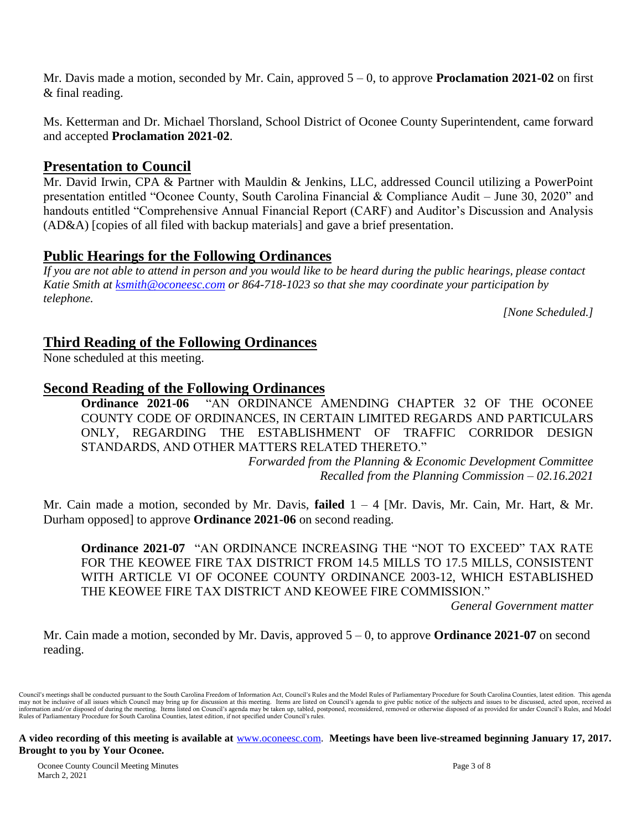Mr. Davis made a motion, seconded by Mr. Cain, approved 5 – 0, to approve **Proclamation 2021-02** on first & final reading.

Ms. Ketterman and Dr. Michael Thorsland, School District of Oconee County Superintendent, came forward and accepted **Proclamation 2021-02**.

## **Presentation to Council**

Mr. David Irwin, CPA & Partner with Mauldin & Jenkins, LLC, addressed Council utilizing a PowerPoint presentation entitled "Oconee County, South Carolina Financial & Compliance Audit – June 30, 2020" and handouts entitled "Comprehensive Annual Financial Report (CARF) and Auditor's Discussion and Analysis (AD&A) [copies of all filed with backup materials] and gave a brief presentation.

## **Public Hearings for the Following Ordinances**

*If you are not able to attend in person and you would like to be heard during the public hearings, please contact Katie Smith at [ksmith@oconeesc.com](mailto:ksmith@oconeesc.com) or 864-718-1023 so that she may coordinate your participation by telephone.*

*[None Scheduled.]*

## **Third Reading of the Following Ordinances**

None scheduled at this meeting.

## **Second Reading of the Following Ordinances**

**Ordinance 2021-06** "AN ORDINANCE AMENDING CHAPTER 32 OF THE OCONEE COUNTY CODE OF ORDINANCES, IN CERTAIN LIMITED REGARDS AND PARTICULARS ONLY, REGARDING THE ESTABLISHMENT OF TRAFFIC CORRIDOR DESIGN STANDARDS, AND OTHER MATTERS RELATED THERETO."

*Forwarded from the Planning & Economic Development Committee Recalled from the Planning Commission – 02.16.2021*

Mr. Cain made a motion, seconded by Mr. Davis, **failed** 1 – 4 [Mr. Davis, Mr. Cain, Mr. Hart, & Mr. Durham opposed] to approve **Ordinance 2021-06** on second reading.

**Ordinance 2021-07** "AN ORDINANCE INCREASING THE "NOT TO EXCEED" TAX RATE FOR THE KEOWEE FIRE TAX DISTRICT FROM 14.5 MILLS TO 17.5 MILLS, CONSISTENT WITH ARTICLE VI OF OCONEE COUNTY ORDINANCE 2003-12, WHICH ESTABLISHED THE KEOWEE FIRE TAX DISTRICT AND KEOWEE FIRE COMMISSION."

*General Government matter*

Mr. Cain made a motion, seconded by Mr. Davis, approved 5 – 0, to approve **Ordinance 2021-07** on second reading.

Council's meetings shall be conducted pursuant to the South Carolina Freedom of Information Act, Council's Rules and the Model Rules of Parliamentary Procedure for South Carolina Counties, latest edition. This agenda may not be inclusive of all issues which Council may bring up for discussion at this meeting. Items are listed on Council's agenda to give public notice of the subjects and issues to be discussed, acted upon, received as information and/or disposed of during the meeting. Items listed on Council's agenda may be taken up, tabled, postponed, reconsidered, removed or otherwise disposed of as provided for under Council's Rules, and Model Rules of Parliamentary Procedure for South Carolina Counties, latest edition, if not specified under Council's rules.

**A video recording of this meeting is available at** [www.oconeesc.com.](http://www.oconeesc.com/) **Meetings have been live-streamed beginning January 17, 2017. Brought to you by Your Oconee.**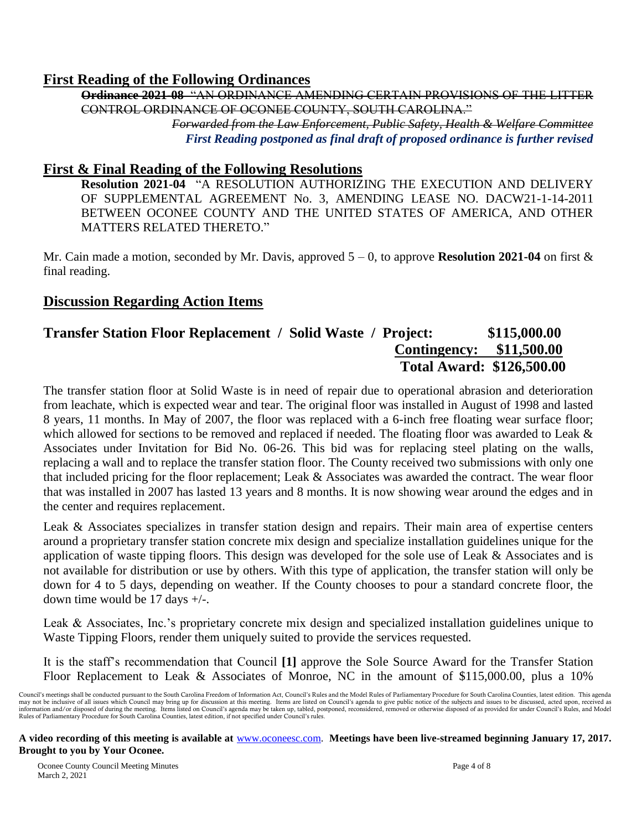## **First Reading of the Following Ordinances**

**Ordinance 2021-08** "AN ORDINANCE AMENDING CERTAIN PROVISIONS OF THE LITTER CONTROL ORDINANCE OF OCONEE COUNTY, SOUTH CAROLINA." *Forwarded from the Law Enforcement, Public Safety, Health & Welfare Committee First Reading postponed as final draft of proposed ordinance is further revised*

## **First & Final Reading of the Following Resolutions**

**Resolution 2021-04** "A RESOLUTION AUTHORIZING THE EXECUTION AND DELIVERY OF SUPPLEMENTAL AGREEMENT No. 3, AMENDING LEASE NO. DACW21-1-14-2011 BETWEEN OCONEE COUNTY AND THE UNITED STATES OF AMERICA, AND OTHER MATTERS RELATED THERETO."

Mr. Cain made a motion, seconded by Mr. Davis, approved 5 – 0, to approve **Resolution 2021-04** on first & final reading.

## **Discussion Regarding Action Items**

## **Transfer Station Floor Replacement / Solid Waste / Project: \$115,000.00 Contingency: \$11,500.00 Total Award: \$126,500.00**

The transfer station floor at Solid Waste is in need of repair due to operational abrasion and deterioration from leachate, which is expected wear and tear. The original floor was installed in August of 1998 and lasted 8 years, 11 months. In May of 2007, the floor was replaced with a 6-inch free floating wear surface floor; which allowed for sections to be removed and replaced if needed. The floating floor was awarded to Leak & Associates under Invitation for Bid No. 06-26. This bid was for replacing steel plating on the walls, replacing a wall and to replace the transfer station floor. The County received two submissions with only one that included pricing for the floor replacement; Leak & Associates was awarded the contract. The wear floor that was installed in 2007 has lasted 13 years and 8 months. It is now showing wear around the edges and in the center and requires replacement.

Leak & Associates specializes in transfer station design and repairs. Their main area of expertise centers around a proprietary transfer station concrete mix design and specialize installation guidelines unique for the application of waste tipping floors. This design was developed for the sole use of Leak & Associates and is not available for distribution or use by others. With this type of application, the transfer station will only be down for 4 to 5 days, depending on weather. If the County chooses to pour a standard concrete floor, the down time would be 17 days +/-.

Leak & Associates, Inc.'s proprietary concrete mix design and specialized installation guidelines unique to Waste Tipping Floors, render them uniquely suited to provide the services requested.

It is the staff's recommendation that Council **[1]** approve the Sole Source Award for the Transfer Station Floor Replacement to Leak & Associates of Monroe, NC in the amount of \$115,000.00, plus a 10%

Council's meetings shall be conducted pursuant to the South Carolina Freedom of Information Act, Council's Rules and the Model Rules of Parliamentary Procedure for South Carolina Counties, latest edition. This agenda may not be inclusive of all issues which Council may bring up for discussion at this meeting. Items are listed on Council's agenda to give public notice of the subjects and issues to be discussed, acted upon, received as i Rules of Parliamentary Procedure for South Carolina Counties, latest edition, if not specified under Council's rules.

**A video recording of this meeting is available at** [www.oconeesc.com.](http://www.oconeesc.com/) **Meetings have been live-streamed beginning January 17, 2017. Brought to you by Your Oconee.**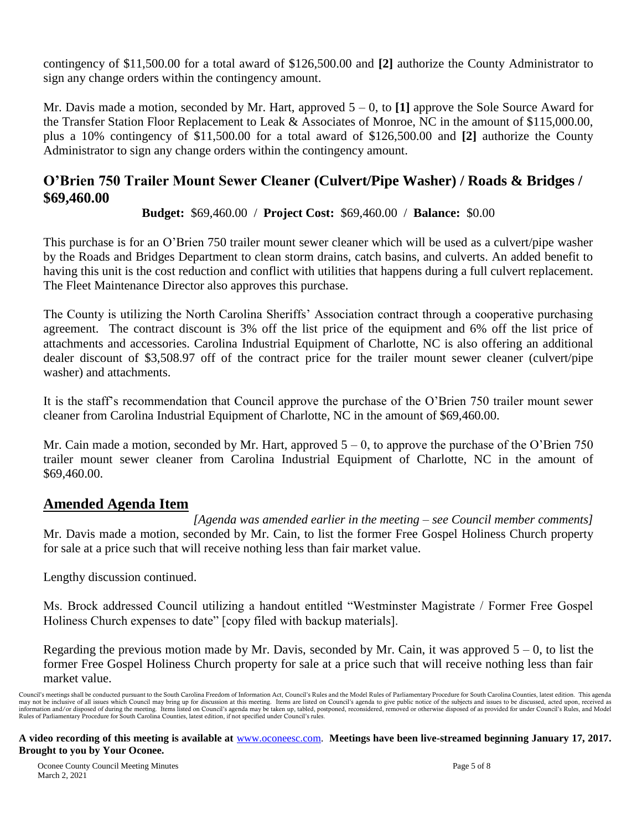contingency of \$11,500.00 for a total award of \$126,500.00 and **[2]** authorize the County Administrator to sign any change orders within the contingency amount.

Mr. Davis made a motion, seconded by Mr. Hart, approved 5 – 0, to **[1]** approve the Sole Source Award for the Transfer Station Floor Replacement to Leak & Associates of Monroe, NC in the amount of \$115,000.00, plus a 10% contingency of \$11,500.00 for a total award of \$126,500.00 and **[2]** authorize the County Administrator to sign any change orders within the contingency amount.

## **O'Brien 750 Trailer Mount Sewer Cleaner (Culvert/Pipe Washer) / Roads & Bridges / \$69,460.00**

**Budget:** \$69,460.00 / **Project Cost:** \$69,460.00 / **Balance:** \$0.00

This purchase is for an O'Brien 750 trailer mount sewer cleaner which will be used as a culvert/pipe washer by the Roads and Bridges Department to clean storm drains, catch basins, and culverts. An added benefit to having this unit is the cost reduction and conflict with utilities that happens during a full culvert replacement. The Fleet Maintenance Director also approves this purchase.

The County is utilizing the North Carolina Sheriffs' Association contract through a cooperative purchasing agreement. The contract discount is 3% off the list price of the equipment and 6% off the list price of attachments and accessories. Carolina Industrial Equipment of Charlotte, NC is also offering an additional dealer discount of \$3,508.97 off of the contract price for the trailer mount sewer cleaner (culvert/pipe washer) and attachments.

It is the staff's recommendation that Council approve the purchase of the O'Brien 750 trailer mount sewer cleaner from Carolina Industrial Equipment of Charlotte, NC in the amount of \$69,460.00.

Mr. Cain made a motion, seconded by Mr. Hart, approved  $5 - 0$ , to approve the purchase of the O'Brien 750 trailer mount sewer cleaner from Carolina Industrial Equipment of Charlotte, NC in the amount of \$69,460.00.

## **Amended Agenda Item**

*[Agenda was amended earlier in the meeting – see Council member comments]* Mr. Davis made a motion, seconded by Mr. Cain, to list the former Free Gospel Holiness Church property for sale at a price such that will receive nothing less than fair market value.

Lengthy discussion continued.

Ms. Brock addressed Council utilizing a handout entitled "Westminster Magistrate / Former Free Gospel Holiness Church expenses to date" [copy filed with backup materials].

Regarding the previous motion made by Mr. Davis, seconded by Mr. Cain, it was approved  $5 - 0$ , to list the former Free Gospel Holiness Church property for sale at a price such that will receive nothing less than fair market value.

Council's meetings shall be conducted pursuant to the South Carolina Freedom of Information Act, Council's Rules and the Model Rules of Parliamentary Procedure for South Carolina Counties, latest edition. This agenda may not be inclusive of all issues which Council may bring up for discussion at this meeting. Items are listed on Council's agenda to give public notice of the subjects and issues to be discussed, acted upon, received as information and/or disposed of during the meeting. Items listed on Council's agenda may be taken up, tabled, postponed, reconsidered, removed or otherwise disposed of as provided for under Council's Rules, and Model Rules of Parliamentary Procedure for South Carolina Counties, latest edition, if not specified under Council's rules.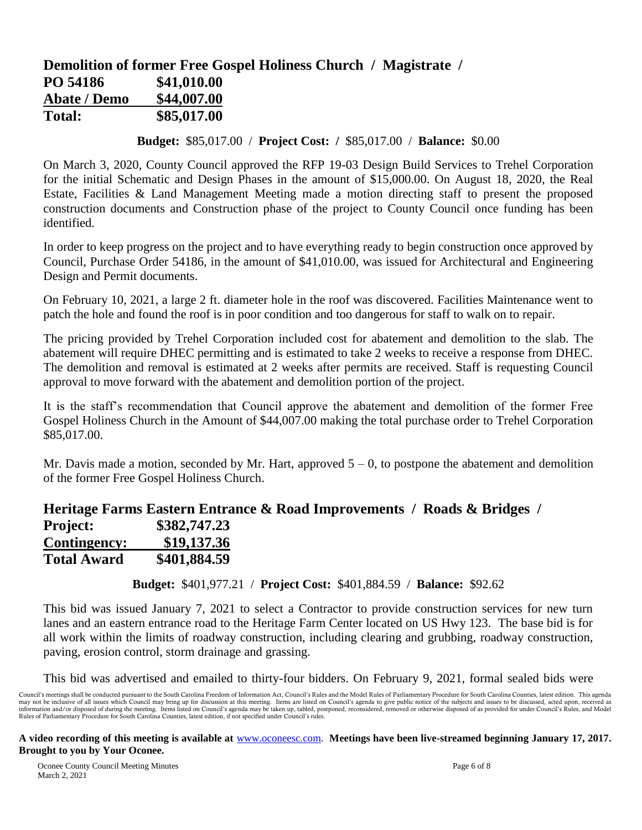# **Demolition of former Free Gospel Holiness Church / Magistrate / PO 54186 \$41,010.00 Abate / Demo \$44,007.00 Total: \$85,017.00**

**Budget:** \$85,017.00 / **Project Cost: /** \$85,017.00 / **Balance:** \$0.00

On March 3, 2020, County Council approved the RFP 19-03 Design Build Services to Trehel Corporation for the initial Schematic and Design Phases in the amount of \$15,000.00. On August 18, 2020, the Real Estate, Facilities & Land Management Meeting made a motion directing staff to present the proposed construction documents and Construction phase of the project to County Council once funding has been identified.

In order to keep progress on the project and to have everything ready to begin construction once approved by Council, Purchase Order 54186, in the amount of \$41,010.00, was issued for Architectural and Engineering Design and Permit documents.

On February 10, 2021, a large 2 ft. diameter hole in the roof was discovered. Facilities Maintenance went to patch the hole and found the roof is in poor condition and too dangerous for staff to walk on to repair.

The pricing provided by Trehel Corporation included cost for abatement and demolition to the slab. The abatement will require DHEC permitting and is estimated to take 2 weeks to receive a response from DHEC. The demolition and removal is estimated at 2 weeks after permits are received. Staff is requesting Council approval to move forward with the abatement and demolition portion of the project.

It is the staff's recommendation that Council approve the abatement and demolition of the former Free Gospel Holiness Church in the Amount of \$44,007.00 making the total purchase order to Trehel Corporation \$85,017.00.

Mr. Davis made a motion, seconded by Mr. Hart, approved  $5 - 0$ , to postpone the abatement and demolition of the former Free Gospel Holiness Church.

|                     |              | Heritage Farms Eastern Entrance & Road Improvements / Roads & Bridges |  |
|---------------------|--------------|-----------------------------------------------------------------------|--|
| <b>Project:</b>     | \$382,747.23 |                                                                       |  |
| <b>Contingency:</b> | \$19,137.36  |                                                                       |  |
| <b>Total Award</b>  | \$401,884.59 |                                                                       |  |

**Budget:** \$401,977.21 / **Project Cost:** \$401,884.59 / **Balance:** \$92.62

This bid was issued January 7, 2021 to select a Contractor to provide construction services for new turn lanes and an eastern entrance road to the Heritage Farm Center located on US Hwy 123. The base bid is for all work within the limits of roadway construction, including clearing and grubbing, roadway construction, paving, erosion control, storm drainage and grassing.

This bid was advertised and emailed to thirty-four bidders. On February 9, 2021, formal sealed bids were

Council's meetings shall be conducted pursuant to the South Carolina Freedom of Information Act, Council's Rules and the Model Rules of Parliamentary Procedure for South Carolina Counties, latest edition. This agenda may not be inclusive of all issues which Council may bring up for discussion at this meeting. Items are listed on Council's agenda to give public notice of the subjects and issues to be discussed, acted upon, received as i Rules of Parliamentary Procedure for South Carolina Counties, latest edition, if not specified under Council's rules.

**A video recording of this meeting is available at** [www.oconeesc.com.](http://www.oconeesc.com/) **Meetings have been live-streamed beginning January 17, 2017. Brought to you by Your Oconee.**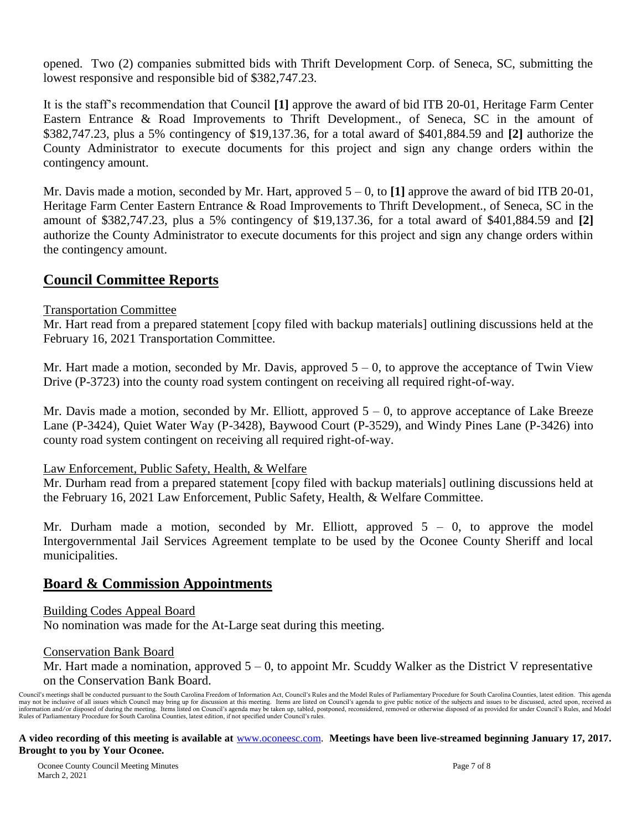opened. Two (2) companies submitted bids with Thrift Development Corp. of Seneca, SC, submitting the lowest responsive and responsible bid of \$382,747.23.

It is the staff's recommendation that Council **[1]** approve the award of bid ITB 20-01, Heritage Farm Center Eastern Entrance & Road Improvements to Thrift Development., of Seneca, SC in the amount of \$382,747.23, plus a 5% contingency of \$19,137.36, for a total award of \$401,884.59 and **[2]** authorize the County Administrator to execute documents for this project and sign any change orders within the contingency amount.

Mr. Davis made a motion, seconded by Mr. Hart, approved 5 – 0, to **[1]** approve the award of bid ITB 20-01, Heritage Farm Center Eastern Entrance & Road Improvements to Thrift Development., of Seneca, SC in the amount of \$382,747.23, plus a 5% contingency of \$19,137.36, for a total award of \$401,884.59 and **[2]** authorize the County Administrator to execute documents for this project and sign any change orders within the contingency amount.

## **Council Committee Reports**

#### Transportation Committee

Mr. Hart read from a prepared statement [copy filed with backup materials] outlining discussions held at the February 16, 2021 Transportation Committee.

Mr. Hart made a motion, seconded by Mr. Davis, approved  $5 - 0$ , to approve the acceptance of Twin View Drive (P-3723) into the county road system contingent on receiving all required right-of-way.

Mr. Davis made a motion, seconded by Mr. Elliott, approved  $5 - 0$ , to approve acceptance of Lake Breeze Lane (P-3424), Quiet Water Way (P-3428), Baywood Court (P-3529), and Windy Pines Lane (P-3426) into county road system contingent on receiving all required right-of-way.

#### Law Enforcement, Public Safety, Health, & Welfare

Mr. Durham read from a prepared statement [copy filed with backup materials] outlining discussions held at the February 16, 2021 Law Enforcement, Public Safety, Health, & Welfare Committee.

Mr. Durham made a motion, seconded by Mr. Elliott, approved  $5 - 0$ , to approve the model Intergovernmental Jail Services Agreement template to be used by the Oconee County Sheriff and local municipalities.

## **Board & Commission Appointments**

#### Building Codes Appeal Board

No nomination was made for the At-Large seat during this meeting.

#### Conservation Bank Board

Mr. Hart made a nomination, approved  $5 - 0$ , to appoint Mr. Scuddy Walker as the District V representative on the Conservation Bank Board.

Council's meetings shall be conducted pursuant to the South Carolina Freedom of Information Act, Council's Rules and the Model Rules of Parliamentary Procedure for South Carolina Counties, latest edition. This agenda may not be inclusive of all issues which Council may bring up for discussion at this meeting. Items are listed on Council's agenda to give public notice of the subjects and issues to be discussed, acted upon, received as information and/or disposed of during the meeting. Items listed on Council's agenda may be taken up, tabled, postponed, reconsidered, removed or otherwise disposed of as provided for under Council's Rules, and Model Rules of Parliamentary Procedure for South Carolina Counties, latest edition, if not specified under Council's rules.